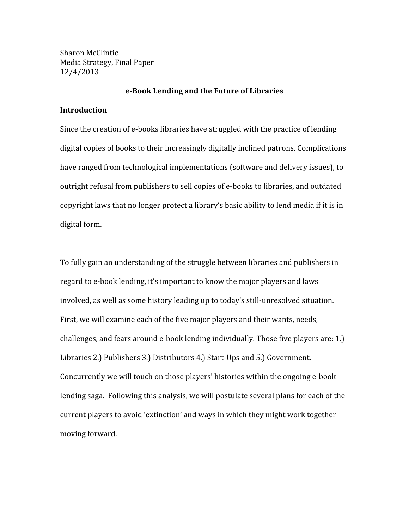Sharon McClintic Media Strategy, Final Paper 12/4/2013

#### **e-Book Lending and the Future of Libraries**

#### **Introduction**

Since the creation of e-books libraries have struggled with the practice of lending digital copies of books to their increasingly digitally inclined patrons. Complications have ranged from technological implementations (software and delivery issues), to outright refusal from publishers to sell copies of e-books to libraries, and outdated copyright laws that no longer protect a library's basic ability to lend media if it is in digital form.

To fully gain an understanding of the struggle between libraries and publishers in regard to e-book lending, it's important to know the major players and laws involved, as well as some history leading up to today's still-unresolved situation. First, we will examine each of the five major players and their wants, needs, challenges, and fears around e-book lending individually. Those five players are: 1.) Libraries 2.) Publishers 3.) Distributors 4.) Start-Ups and 5.) Government. Concurrently we will touch on those players' histories within the ongoing e-book lending saga. Following this analysis, we will postulate several plans for each of the current players to avoid 'extinction' and ways in which they might work together moving forward.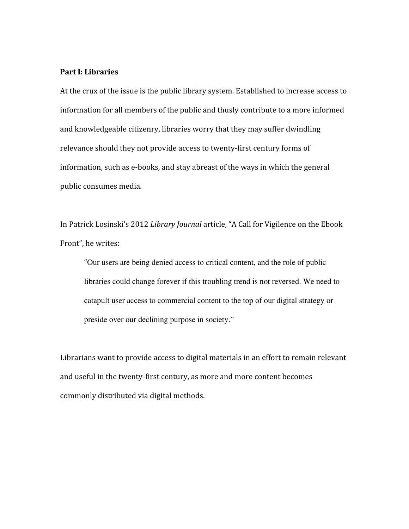### **Part I: Libraries**

At the crux of the issue is the public library system. Established to increase access to information for all members of the public and thusly contribute to a more informed and knowledgeable citizenry, libraries worry that they may suffer dwindling relevance should they not provide access to twenty-first century forms of information, such as e-books, and stay abreast of the ways in which the general public consumes media.

In Patrick Losinski's 2012 *Library Journal* article, "A Call for Vigilence on the Ebook Front", he writes:

"Our users are being denied access to critical content, and the role of public libraries could change forever if this troubling trend is not reversed. We need to catapult user access to commercial content to the top of our digital strategy or preside over our declining purpose in society."

Librarians want to provide access to digital materials in an effort to remain relevant and useful in the twenty-first century, as more and more content becomes commonly distributed via digital methods.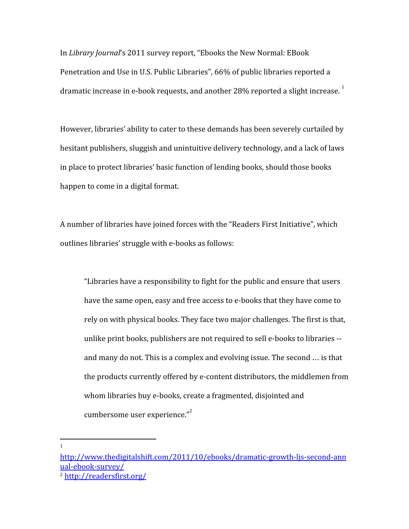In *Library Journal*'s 2011 survey report, "Ebooks the New Normal: EBook Penetration and Use in U.S. Public Libraries", 66% of public libraries reported a dramatic increase in e-book requests, and another 28% reported a slight increase.<sup>1</sup>

However, libraries' ability to cater to these demands has been severely curtailed by hesitant publishers, sluggish and unintuitive delivery technology, and a lack of laws in place to protect libraries' basic function of lending books, should those books happen to come in a digital format.

A number of libraries have joined forces with the "Readers First Initiative", which outlines libraries' struggle with e-books as follows:

"Libraries have a responsibility to fight for the public and ensure that users have the same open, easy and free access to e-books that they have come to rely on with physical books. They face two major challenges. The first is that, unlike print books, publishers are not required to sell e-books to libraries - and many do not. This is a complex and evolving issue. The second … is that the products currently offered by e-content distributors, the middlemen from whom libraries buy e-books, create a fragmented, disjointed and cumbersome user experience."<sup>2</sup>

[http://www.thedigitalshift.com/2011/10/ebooks/dramatic-growth-ljs-second-ann](http://www.thedigitalshift.com/2011/10/ebooks/dramatic-growth-ljs-second-annual-ebook-survey/) [ual-ebook-survey/](http://www.thedigitalshift.com/2011/10/ebooks/dramatic-growth-ljs-second-annual-ebook-survey/) <sup>2</sup> <http://readersfirst.org/>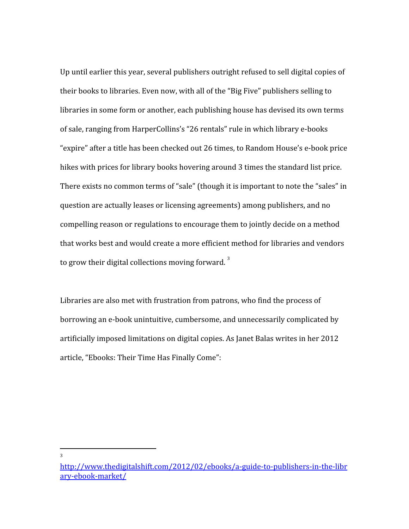Up until earlier this year, several publishers outright refused to sell digital copies of their books to libraries. Even now, with all of the "Big Five" publishers selling to libraries in some form or another, each publishing house has devised its own terms of sale, ranging from HarperCollins's "26 rentals" rule in which library e-books "expire" after a title has been checked out 26 times, to Random House's e-book price hikes with prices for library books hovering around 3 times the standard list price. There exists no common terms of "sale" (though it is important to note the "sales" in question are actually leases or licensing agreements) among publishers, and no compelling reason or regulations to encourage them to jointly decide on a method that works best and would create a more efficient method for libraries and vendors to grow their digital collections moving forward.  $3$ 

Libraries are also met with frustration from patrons, who find the process of borrowing an e-book unintuitive, cumbersome, and unnecessarily complicated by artificially imposed limitations on digital copies. As Janet Balas writes in her 2012 article, "Ebooks: Their Time Has Finally Come":

[http://www.thedigitalshift.com/2012/02/ebooks/a-guide-to-publishers-in-the-libr](http://www.thedigitalshift.com/2012/02/ebooks/a-guide-to-publishers-in-the-library-ebook-market/) [ary-ebook-market/](http://www.thedigitalshift.com/2012/02/ebooks/a-guide-to-publishers-in-the-library-ebook-market/)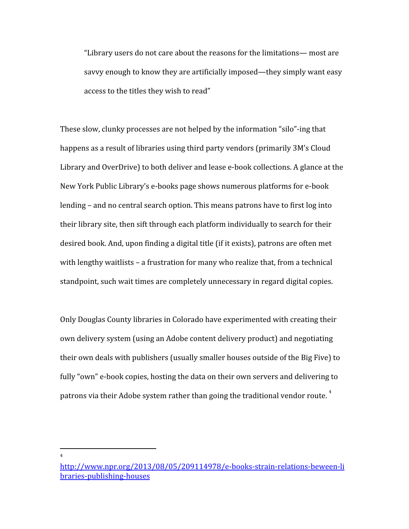"Library users do not care about the reasons for the limitations— most are savvy enough to know they are artificially imposed—they simply want easy access to the titles they wish to read"

These slow, clunky processes are not helped by the information "silo"-ing that happens as a result of libraries using third party vendors (primarily 3M's Cloud Library and OverDrive) to both deliver and lease e-book collections. A glance at the New York Public Library's e-books page shows numerous platforms for e-book lending – and no central search option. This means patrons have to first log into their library site, then sift through each platform individually to search for their desired book. And, upon finding a digital title (if it exists), patrons are often met with lengthy waitlists – a frustration for many who realize that, from a technical standpoint, such wait times are completely unnecessary in regard digital copies.

Only Douglas County libraries in Colorado have experimented with creating their own delivery system (using an Adobe content delivery product) and negotiating their own deals with publishers (usually smaller houses outside of the Big Five) to fully "own" e-book copies, hosting the data on their own servers and delivering to patrons via their Adobe system rather than going the traditional vendor route.  $^4$ 

[http://www.npr.org/2013/08/05/209114978/e-books-strain-relations-beween-li](http://www.npr.org/2013/08/05/209114978/e-books-strain-relations-beween-libraries-publishing-houses) [braries-publishing-houses](http://www.npr.org/2013/08/05/209114978/e-books-strain-relations-beween-libraries-publishing-houses)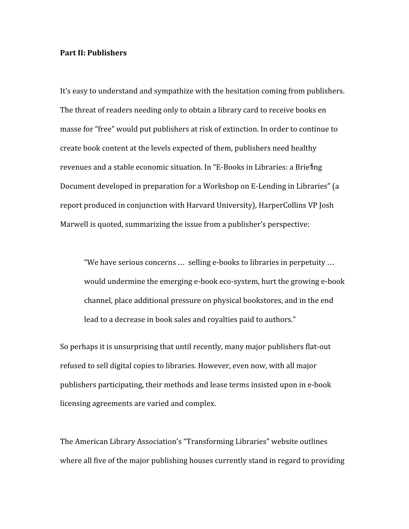## **Part II: Publishers**

It's easy to understand and sympathize with the hesitation coming from publishers. The threat of readers needing only to obtain a library card to receive books en masse for "free" would put publishers at risk of extinction. In order to continue to create book content at the levels expected of them, publishers need healthy revenues and a stable economic situation. In "E-Books in Libraries: a Briefing Document developed in preparation for a Workshop on E-Lending in Libraries" (a report produced in conjunction with Harvard University), HarperCollins VP Josh Marwell is quoted, summarizing the issue from a publisher's perspective:

"We have serious concerns … selling e-books to libraries in perpetuity … would undermine the emerging e-book eco-system, hurt the growing e-book channel, place additional pressure on physical bookstores, and in the end lead to a decrease in book sales and royalties paid to authors."

So perhaps it is unsurprising that until recently, many major publishers flat-out refused to sell digital copies to libraries. However, even now, with all major publishers participating, their methods and lease terms insisted upon in e-book licensing agreements are varied and complex.

The American Library Association's "Transforming Libraries" website outlines where all five of the major publishing houses currently stand in regard to providing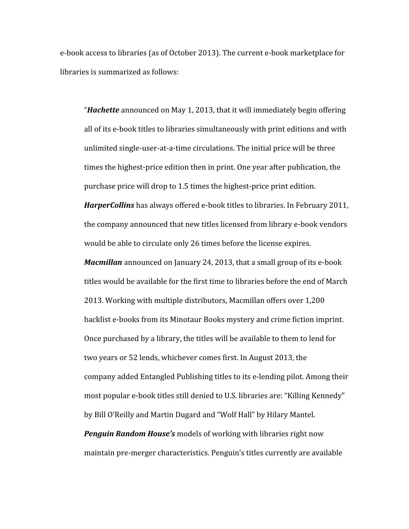e-book access to libraries (as of October 2013). The current e-book marketplace for libraries is summarized as follows:

"*Hachette* announced on May 1, 2013, that it will immediately begin offering all of its e-book titles to libraries simultaneously with print editions and with unlimited single-user-at-a-time circulations. The initial price will be three times the highest-price edition then in print. One year after publication, the purchase price will drop to 1.5 times the highest-price print edition.

*HarperCollins* has always offered e-book titles to libraries. In February 2011, the company announced that new titles licensed from library e-book vendors would be able to circulate only 26 times before the license expires.

*Macmillan* announced on January 24, 2013, that a small group of its e-book titles would be available for the first time to libraries before the end of March 2013. Working with multiple distributors, Macmillan offers over 1,200 backlist e-books from its Minotaur Books mystery and crime fiction imprint. Once purchased by a library, the titles will be available to them to lend for two years or 52 lends, whichever comes first. In August 2013, the company added Entangled Publishing titles to its e-lending pilot. Among their most popular e-book titles still denied to U.S. libraries are: "Killing Kennedy" by Bill O'Reilly and Martin Dugard and "Wolf Hall" by Hilary Mantel. *Penguin Random House's* models of working with libraries right now maintain pre-merger characteristics. Penguin's titles currently are available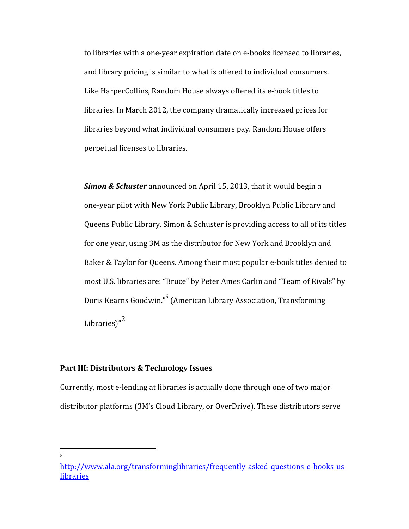to libraries with a one-year expiration date on e-books licensed to libraries, and library pricing is similar to what is offered to individual consumers. Like HarperCollins, Random House always offered its e-book titles to libraries. In March 2012, the company dramatically increased prices for libraries beyond what individual consumers pay. Random House offers perpetual licenses to libraries.

*Simon & Schuster* announced on April 15, 2013, that it would begin a one-year pilot with New York Public Library, Brooklyn Public Library and Queens Public Library. Simon & Schuster is providing access to all of its titles for one year, using 3M as the distributor for New York and Brooklyn and Baker & Taylor for Queens. Among their most popular e-book titles denied to most U.S. libraries are: "Bruce" by Peter Ames Carlin and "Team of Rivals" by Doris Kearns Goodwin."<sup>5</sup> (American Library Association, Transforming Libraries)"<sup>2</sup>

### **Part III: Distributors & Technology Issues**

Currently, most e-lending at libraries is actually done through one of two major distributor platforms (3M's Cloud Library, or OverDrive). These distributors serve

[http://www.ala.org/transforminglibraries/frequently-asked-questions-e-books-us](http://www.ala.org/transforminglibraries/frequently-asked-questions-e-books-us-libraries)[libraries](http://www.ala.org/transforminglibraries/frequently-asked-questions-e-books-us-libraries)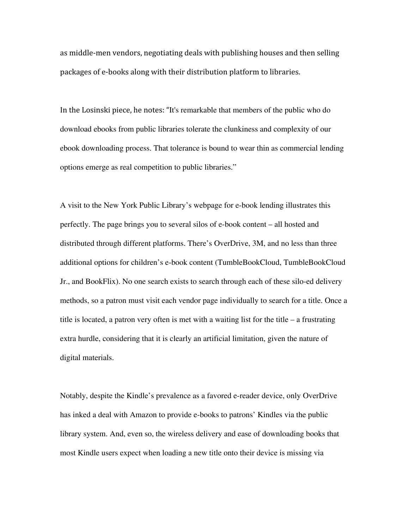as middle-men vendors, negotiating deals with publishing houses and then selling packages of e-books along with their distribution platform to libraries.

In the Losinski piece, he notes: "It's remarkable that members of the public who do download ebooks from public libraries tolerate the clunkiness and complexity of our ebook downloading process. That tolerance is bound to wear thin as commercial lending options emerge as real competition to public libraries."

A visit to the New York Public Library's webpage for e-book lending illustrates this perfectly. The page brings you to several silos of e-book content – all hosted and distributed through different platforms. There's OverDrive, 3M, and no less than three additional options for children's e-book content (TumbleBookCloud, TumbleBookCloud Jr., and BookFlix). No one search exists to search through each of these silo-ed delivery methods, so a patron must visit each vendor page individually to search for a title. Once a title is located, a patron very often is met with a waiting list for the title – a frustrating extra hurdle, considering that it is clearly an artificial limitation, given the nature of digital materials.

Notably, despite the Kindle's prevalence as a favored e-reader device, only OverDrive has inked a deal with Amazon to provide e-books to patrons' Kindles via the public library system. And, even so, the wireless delivery and ease of downloading books that most Kindle users expect when loading a new title onto their device is missing via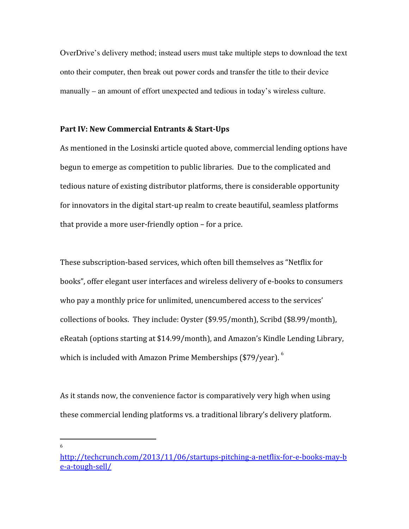OverDrive's delivery method; instead users must take multiple steps to download the text onto their computer, then break out power cords and transfer the title to their device manually – an amount of effort unexpected and tedious in today's wireless culture.

## **Part IV: New Commercial Entrants & Start-Ups**

As mentioned in the Losinski article quoted above, commercial lending options have begun to emerge as competition to public libraries. Due to the complicated and tedious nature of existing distributor platforms, there is considerable opportunity for innovators in the digital start-up realm to create beautiful, seamless platforms that provide a more user-friendly option – for a price.

These subscription-based services, which often bill themselves as "Netflix for books", offer elegant user interfaces and wireless delivery of e-books to consumers who pay a monthly price for unlimited, unencumbered access to the services' collections of books. They include: Oyster (\$9.95/month), Scribd (\$8.99/month), eReatah (options starting at \$14.99/month), and Amazon's Kindle Lending Library, which is included with Amazon Prime Memberships (\$79/year).<sup>6</sup>

As it stands now, the convenience factor is comparatively very high when using these commercial lending platforms vs. a traditional library's delivery platform.

[http://techcrunch.com/2013/11/06/startups-pitching-a-netflix-for-e-books-may-b](http://techcrunch.com/2013/11/06/startups-pitching-a-netflix-for-e-books-may-be-a-tough-sell/) [e-a-tough-sell/](http://techcrunch.com/2013/11/06/startups-pitching-a-netflix-for-e-books-may-be-a-tough-sell/)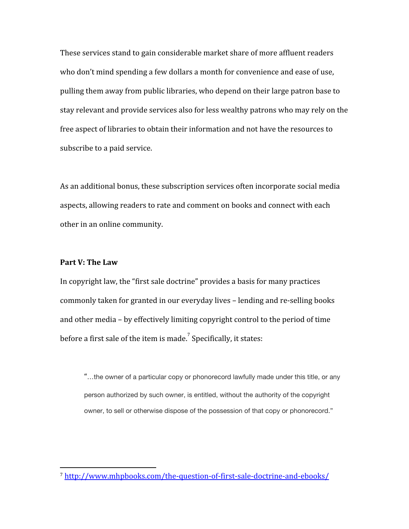These services stand to gain considerable market share of more affluent readers who don't mind spending a few dollars a month for convenience and ease of use, pulling them away from public libraries, who depend on their large patron base to stay relevant and provide services also for less wealthy patrons who may rely on the free aspect of libraries to obtain their information and not have the resources to subscribe to a paid service.

As an additional bonus, these subscription services often incorporate social media aspects, allowing readers to rate and comment on books and connect with each other in an online community.

## **Part V: The Law**

In copyright law, the "first sale doctrine" provides a basis for many practices commonly taken for granted in our everyday lives – lending and re-selling books and other media – by effectively limiting copyright control to the period of time before a first sale of the item is made.<sup>7</sup> Specifically, it states:

"…the owner of a particular copy or phonorecord lawfully made under this title, or any person authorized by such owner, is entitled, without the authority of the copyright owner, to sell or otherwise dispose of the possession of that copy or phonorecord."

<sup>7</sup> <http://www.mhpbooks.com/the-question-of-first-sale-doctrine-and-ebooks/>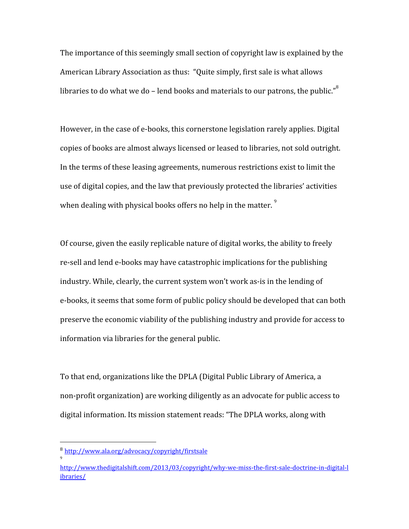The importance of this seemingly small section of copyright law is explained by the American Library Association as thus: "Quite simply, first sale is what allows libraries to do what we do – lend books and materials to our patrons, the public." $8$ 

However, in the case of e-books, this cornerstone legislation rarely applies. Digital copies of books are almost always licensed or leased to libraries, not sold outright. In the terms of these leasing agreements, numerous restrictions exist to limit the use of digital copies, and the law that previously protected the libraries' activities when dealing with physical books offers no help in the matter.  $^9$ 

Of course, given the easily replicable nature of digital works, the ability to freely re-sell and lend e-books may have catastrophic implications for the publishing industry. While, clearly, the current system won't work as-is in the lending of e-books, it seems that some form of public policy should be developed that can both preserve the economic viability of the publishing industry and provide for access to information via libraries for the general public.

To that end, organizations like the DPLA (Digital Public Library of America, a non-profit organization) are working diligently as an advocate for public access to digital information. Its mission statement reads: "The DPLA works, along with

<sup>8</sup> <http://www.ala.org/advocacy/copyright/firstsale>

[http://www.thedigitalshift.com/2013/03/copyright/why-we-miss-the-first-sale-doctrine-in-digital-l](http://www.thedigitalshift.com/2013/03/copyright/why-we-miss-the-first-sale-doctrine-in-digital-libraries/) [ibraries/](http://www.thedigitalshift.com/2013/03/copyright/why-we-miss-the-first-sale-doctrine-in-digital-libraries/)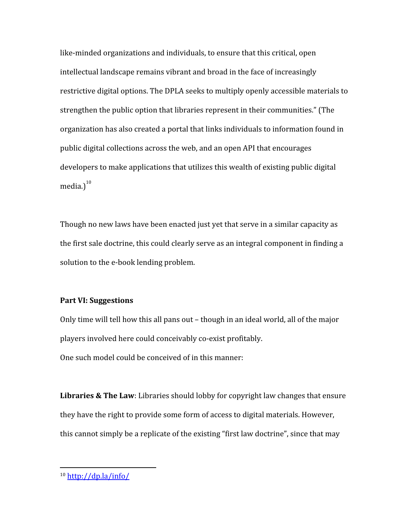like-minded organizations and individuals, to ensure that this critical, open intellectual landscape remains vibrant and broad in the face of increasingly restrictive digital options. The DPLA seeks to multiply openly accessible materials to strengthen the public option that libraries represent in their communities." (The organization has also created a portal that links individuals to information found in public digital collections across the web, and an open API that encourages developers to make applications that utilizes this wealth of existing public digital media. $1^{10}$ 

Though no new laws have been enacted just yet that serve in a similar capacity as the first sale doctrine, this could clearly serve as an integral component in finding a solution to the e-book lending problem.

#### **Part VI: Suggestions**

Only time will tell how this all pans out – though in an ideal world, all of the major players involved here could conceivably co-exist profitably. One such model could be conceived of in this manner:

**Libraries & The Law**: Libraries should lobby for copyright law changes that ensure they have the right to provide some form of access to digital materials. However, this cannot simply be a replicate of the existing "first law doctrine", since that may

 $10$  <http://dp.la/info/>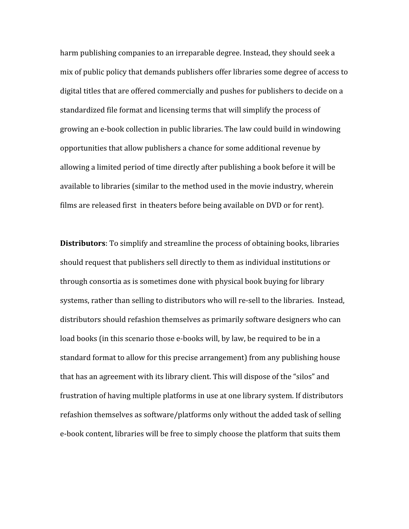harm publishing companies to an irreparable degree. Instead, they should seek a mix of public policy that demands publishers offer libraries some degree of access to digital titles that are offered commercially and pushes for publishers to decide on a standardized file format and licensing terms that will simplify the process of growing an e-book collection in public libraries. The law could build in windowing opportunities that allow publishers a chance for some additional revenue by allowing a limited period of time directly after publishing a book before it will be available to libraries (similar to the method used in the movie industry, wherein films are released first in theaters before being available on DVD or for rent).

**Distributors**: To simplify and streamline the process of obtaining books, libraries should request that publishers sell directly to them as individual institutions or through consortia as is sometimes done with physical book buying for library systems, rather than selling to distributors who will re-sell to the libraries. Instead, distributors should refashion themselves as primarily software designers who can load books (in this scenario those e-books will, by law, be required to be in a standard format to allow for this precise arrangement) from any publishing house that has an agreement with its library client. This will dispose of the "silos" and frustration of having multiple platforms in use at one library system. If distributors refashion themselves as software/platforms only without the added task of selling e-book content, libraries will be free to simply choose the platform that suits them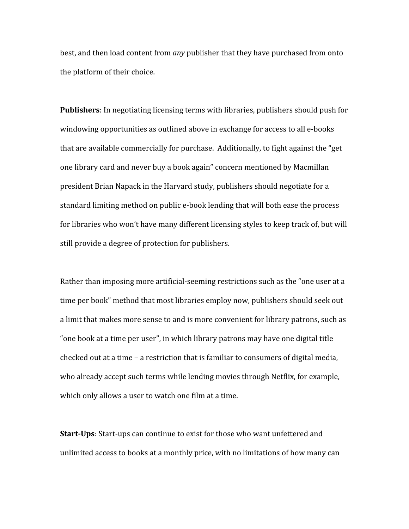best, and then load content from *any* publisher that they have purchased from onto the platform of their choice.

**Publishers**: In negotiating licensing terms with libraries, publishers should push for windowing opportunities as outlined above in exchange for access to all e-books that are available commercially for purchase. Additionally, to fight against the "get one library card and never buy a book again" concern mentioned by Macmillan president Brian Napack in the Harvard study, publishers should negotiate for a standard limiting method on public e-book lending that will both ease the process for libraries who won't have many different licensing styles to keep track of, but will still provide a degree of protection for publishers.

Rather than imposing more artificial-seeming restrictions such as the "one user at a time per book" method that most libraries employ now, publishers should seek out a limit that makes more sense to and is more convenient for library patrons, such as "one book at a time per user", in which library patrons may have one digital title checked out at a time – a restriction that is familiar to consumers of digital media, who already accept such terms while lending movies through Netflix, for example, which only allows a user to watch one film at a time.

**Start-Ups**: Start-ups can continue to exist for those who want unfettered and unlimited access to books at a monthly price, with no limitations of how many can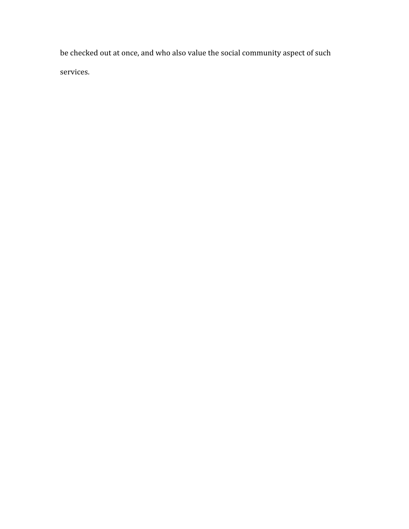be checked out at once, and who also value the social community aspect of such services.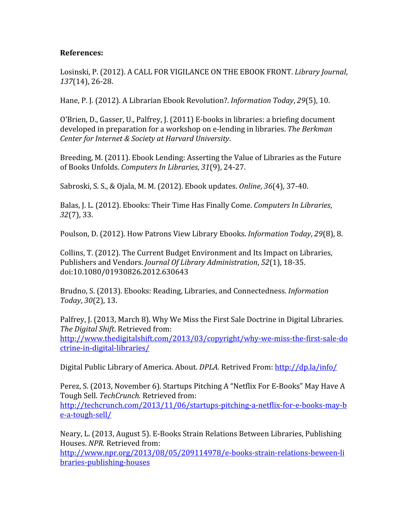# **References:**

Losinski, P. (2012). A CALL FOR VIGILANCE ON THE EBOOK FRONT. *Library Journal*, *137*(14), 26-28.

Hane, P. J. (2012). A Librarian Ebook Revolution?. *Information Today*, *29*(5), 10.

O'Brien, D., Gasser, U., Palfrey, J. (2011) E-books in libraries: a briefing document developed in preparation for a workshop on e-lending in libraries. *The Berkman Center for Internet & Society at Harvard University*.

Breeding, M. (2011). Ebook Lending: Asserting the Value of Libraries as the Future of Books Unfolds. *Computers In Libraries*, *31*(9), 24-27.

Sabroski, S. S., & Ojala, M. M. (2012). Ebook updates. *Online*, *36*(4), 37-40.

Balas, J. L. (2012). Ebooks: Their Time Has Finally Come. *Computers In Libraries*, *32*(7), 33.

Poulson, D. (2012). How Patrons View Library Ebooks. *Information Today*, *29*(8), 8.

Collins, T. (2012). The Current Budget Environment and Its Impact on Libraries, Publishers and Vendors. *Journal Of Library Administration*, *52*(1), 18-35. doi:10.1080/01930826.2012.630643

Brudno, S. (2013). Ebooks: Reading, Libraries, and Connectedness. *Information Today*, *30*(2), 13.

Palfrey, J. (2013, March 8). Why We Miss the First Sale Doctrine in Digital Libraries. *The Digital Shift*. Retrieved from: [http://www.thedigitalshift.com/2013/03/copyright/why-we-miss-the-first-sale-do](http://www.thedigitalshift.com/2013/03/copyright/why-we-miss-the-first-sale-doctrine-in-digital-libraries/) [ctrine-in-digital-libraries/](http://www.thedigitalshift.com/2013/03/copyright/why-we-miss-the-first-sale-doctrine-in-digital-libraries/)

Digital Public Library of America. About. *DPLA*. Retrived From: <http://dp.la/info/>

Perez, S. (2013, November 6). Startups Pitching A "Netflix For E-Books" May Have A Tough Sell. *TechCrunch.* Retrieved from:

[http://techcrunch.com/2013/11/06/startups-pitching-a-netflix-for-e-books-may-b](http://techcrunch.com/2013/11/06/startups-pitching-a-netflix-for-e-books-may-be-a-tough-sell/) [e-a-tough-sell/](http://techcrunch.com/2013/11/06/startups-pitching-a-netflix-for-e-books-may-be-a-tough-sell/)

Neary, L. (2013, August 5). E-Books Strain Relations Between Libraries, Publishing Houses. *NPR.* Retrieved from:

[http://www.npr.org/2013/08/05/209114978/e-books-strain-relations-beween-li](http://www.npr.org/2013/08/05/209114978/e-books-strain-relations-beween-libraries-publishing-houses) [braries-publishing-houses](http://www.npr.org/2013/08/05/209114978/e-books-strain-relations-beween-libraries-publishing-houses)